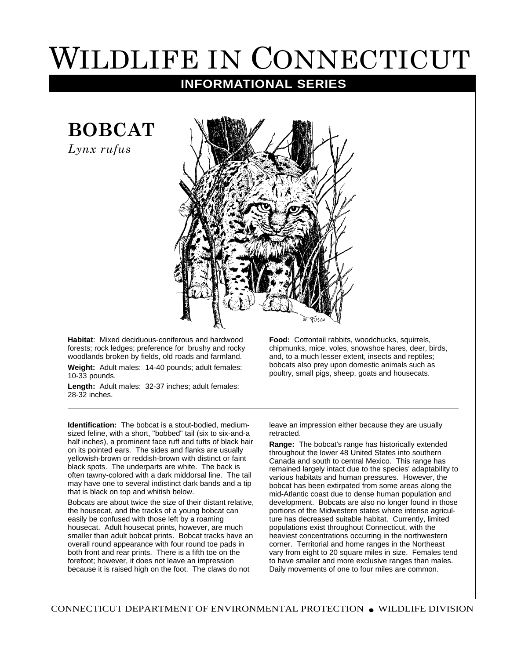## WILDLIFE IN CONNECTICUT

## **INFORMATIONAL SERIES**

**BOBCAT**

*Lynx rufus*



**Habitat**: Mixed deciduous-coniferous and hardwood forests; rock ledges; preference for brushy and rocky woodlands broken by fields, old roads and farmland.

**Weight:** Adult males: 14-40 pounds; adult females: 10-33 pounds.

**Length:** Adult males: 32-37 inches; adult females: 28-32 inches.

**Identification:** The bobcat is a stout-bodied, mediumsized feline, with a short, "bobbed" tail (six to six-and-a half inches), a prominent face ruff and tufts of black hair on its pointed ears. The sides and flanks are usually yellowish-brown or reddish-brown with distinct or faint black spots. The underparts are white. The back is often tawny-colored with a dark middorsal line. The tail may have one to several indistinct dark bands and a tip that is black on top and whitish below.

Bobcats are about twice the size of their distant relative, the housecat, and the tracks of a young bobcat can easily be confused with those left by a roaming housecat. Adult housecat prints, however, are much smaller than adult bobcat prints. Bobcat tracks have an overall round appearance with four round toe pads in both front and rear prints. There is a fifth toe on the forefoot; however, it does not leave an impression because it is raised high on the foot. The claws do not

**Food:** Cottontail rabbits, woodchucks, squirrels, chipmunks, mice, voles, snowshoe hares, deer, birds, and, to a much lesser extent, insects and reptiles; bobcats also prey upon domestic animals such as poultry, small pigs, sheep, goats and housecats.

leave an impression either because they are usually retracted.

**Range:** The bobcat's range has historically extended throughout the lower 48 United States into southern Canada and south to central Mexico. This range has remained largely intact due to the species' adaptability to various habitats and human pressures. However, the bobcat has been extirpated from some areas along the mid-Atlantic coast due to dense human population and development. Bobcats are also no longer found in those portions of the Midwestern states where intense agriculture has decreased suitable habitat. Currently, limited populations exist throughout Connecticut, with the heaviest concentrations occurring in the northwestern corner. Territorial and home ranges in the Northeast vary from eight to 20 square miles in size. Females tend to have smaller and more exclusive ranges than males. Daily movements of one to four miles are common.